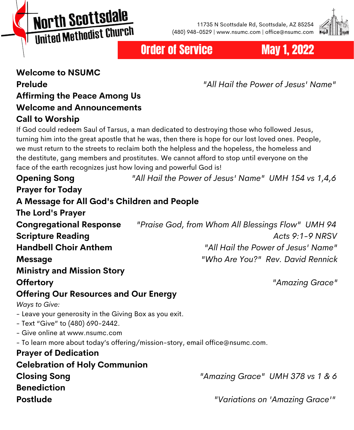North Scottsdale United Methodist Church

11735 N Scottsdale Rd, Scottsdale, AZ 85254 (480) 948-0529 | www.nsumc.com | office@nsumc.com



Order of Service May 1, 2022

### **Welcome to NSUMC Prelude** *"All Hail the Power of Jesus' Name"* **Affirming the Peace Among Us Welcome and Announcements Call to Worship**

If God could redeem Saul of Tarsus, a man dedicated to destroying those who followed Jesus, turning him into the great apostle that he was, then there is hope for our lost loved ones. People, we must return to the streets to reclaim both the helpless and the hopeless, the homeless and the destitute, gang members and prostitutes. We cannot afford to stop until everyone on the face of the earth recognizes just how loving and powerful God is!

| <b>Opening Song</b>                                    | "All Hail the Power of Jesus' Name" UMH 154 vs 1,4,6                          |  |  |  |
|--------------------------------------------------------|-------------------------------------------------------------------------------|--|--|--|
| <b>Prayer for Today</b>                                |                                                                               |  |  |  |
| A Message for All God's Children and People            |                                                                               |  |  |  |
| The Lord's Prayer                                      |                                                                               |  |  |  |
| <b>Congregational Response</b>                         | "Praise God, from Whom All Blessings Flow" UMH 94                             |  |  |  |
| <b>Scripture Reading</b>                               | Acts $9:1-9$ NRSV                                                             |  |  |  |
| <b>Handbell Choir Anthem</b>                           | "All Hail the Power of Jesus' Name"                                           |  |  |  |
| <b>Message</b>                                         | "Who Are You?" Rev. David Rennick                                             |  |  |  |
| <b>Ministry and Mission Story</b>                      |                                                                               |  |  |  |
| <b>Offertory</b>                                       | "Amazing Grace"                                                               |  |  |  |
| <b>Offering Our Resources and Our Energy</b>           |                                                                               |  |  |  |
| <b>Ways to Give:</b>                                   |                                                                               |  |  |  |
| - Leave your generosity in the Giving Box as you exit. |                                                                               |  |  |  |
| - Text "Give" to (480) 690-2442.                       |                                                                               |  |  |  |
| - Give online at www.nsumc.com                         |                                                                               |  |  |  |
|                                                        | - To learn more about today's offering/mission-story, email office@nsumc.com. |  |  |  |
| <b>Prayer of Dedication</b>                            |                                                                               |  |  |  |
| <b>Celebration of Holy Communion</b>                   |                                                                               |  |  |  |
| <b>Closing Song</b>                                    | "Amazing Grace" UMH 378 vs 1 & 6                                              |  |  |  |
| <b>Benediction</b>                                     |                                                                               |  |  |  |
| <b>Postlude</b>                                        | "Variations on 'Amazing Grace'"                                               |  |  |  |
|                                                        |                                                                               |  |  |  |